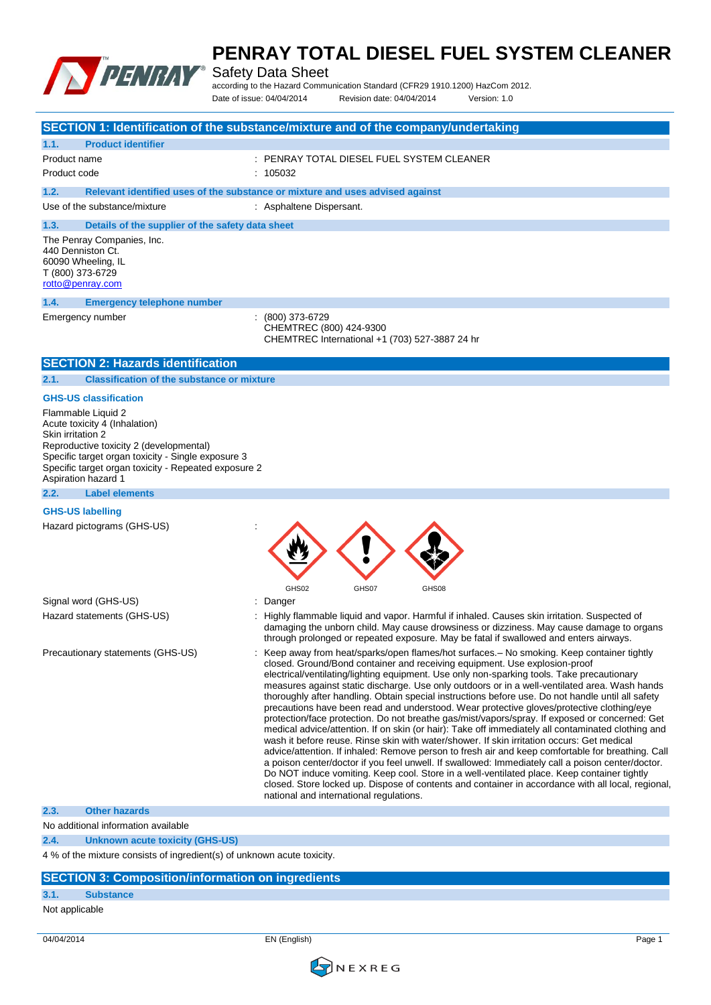

Safety Data Sheet

according to the Hazard Communication Standard (CFR29 1910.1200) HazCom 2012. Date of issue: 04/04/2014 Revision date: 04/04/2014 Version: 1.0

|                                                           |                                                                                                                                                                                                              | SECTION 1: Identification of the substance/mixture and of the company/undertaking                                                                                                                                                                                                                                                                                                                                                                                                                                                                                                                                                                                                                                                                                                                                                                                                                                                                                                                                                                                                                                                                                                                                                                                                                                                        |
|-----------------------------------------------------------|--------------------------------------------------------------------------------------------------------------------------------------------------------------------------------------------------------------|------------------------------------------------------------------------------------------------------------------------------------------------------------------------------------------------------------------------------------------------------------------------------------------------------------------------------------------------------------------------------------------------------------------------------------------------------------------------------------------------------------------------------------------------------------------------------------------------------------------------------------------------------------------------------------------------------------------------------------------------------------------------------------------------------------------------------------------------------------------------------------------------------------------------------------------------------------------------------------------------------------------------------------------------------------------------------------------------------------------------------------------------------------------------------------------------------------------------------------------------------------------------------------------------------------------------------------------|
| 1.1.                                                      | <b>Product identifier</b>                                                                                                                                                                                    |                                                                                                                                                                                                                                                                                                                                                                                                                                                                                                                                                                                                                                                                                                                                                                                                                                                                                                                                                                                                                                                                                                                                                                                                                                                                                                                                          |
| Product name                                              |                                                                                                                                                                                                              | : PENRAY TOTAL DIESEL FUEL SYSTEM CLEANER                                                                                                                                                                                                                                                                                                                                                                                                                                                                                                                                                                                                                                                                                                                                                                                                                                                                                                                                                                                                                                                                                                                                                                                                                                                                                                |
| Product code                                              |                                                                                                                                                                                                              | : 105032                                                                                                                                                                                                                                                                                                                                                                                                                                                                                                                                                                                                                                                                                                                                                                                                                                                                                                                                                                                                                                                                                                                                                                                                                                                                                                                                 |
| 1.2.                                                      |                                                                                                                                                                                                              | Relevant identified uses of the substance or mixture and uses advised against                                                                                                                                                                                                                                                                                                                                                                                                                                                                                                                                                                                                                                                                                                                                                                                                                                                                                                                                                                                                                                                                                                                                                                                                                                                            |
|                                                           | Use of the substance/mixture                                                                                                                                                                                 | : Asphaltene Dispersant.                                                                                                                                                                                                                                                                                                                                                                                                                                                                                                                                                                                                                                                                                                                                                                                                                                                                                                                                                                                                                                                                                                                                                                                                                                                                                                                 |
| 1.3.                                                      | Details of the supplier of the safety data sheet                                                                                                                                                             |                                                                                                                                                                                                                                                                                                                                                                                                                                                                                                                                                                                                                                                                                                                                                                                                                                                                                                                                                                                                                                                                                                                                                                                                                                                                                                                                          |
| 440 Denniston Ct.<br>T (800) 373-6729<br>rotto@penray.com | The Penray Companies, Inc.<br>60090 Wheeling, IL                                                                                                                                                             |                                                                                                                                                                                                                                                                                                                                                                                                                                                                                                                                                                                                                                                                                                                                                                                                                                                                                                                                                                                                                                                                                                                                                                                                                                                                                                                                          |
| 1.4.                                                      | <b>Emergency telephone number</b>                                                                                                                                                                            |                                                                                                                                                                                                                                                                                                                                                                                                                                                                                                                                                                                                                                                                                                                                                                                                                                                                                                                                                                                                                                                                                                                                                                                                                                                                                                                                          |
|                                                           | Emergency number                                                                                                                                                                                             | (800) 373-6729<br>CHEMTREC (800) 424-9300<br>CHEMTREC International +1 (703) 527-3887 24 hr                                                                                                                                                                                                                                                                                                                                                                                                                                                                                                                                                                                                                                                                                                                                                                                                                                                                                                                                                                                                                                                                                                                                                                                                                                              |
|                                                           | <b>SECTION 2: Hazards identification</b>                                                                                                                                                                     |                                                                                                                                                                                                                                                                                                                                                                                                                                                                                                                                                                                                                                                                                                                                                                                                                                                                                                                                                                                                                                                                                                                                                                                                                                                                                                                                          |
| 2.1.                                                      | <b>Classification of the substance or mixture</b>                                                                                                                                                            |                                                                                                                                                                                                                                                                                                                                                                                                                                                                                                                                                                                                                                                                                                                                                                                                                                                                                                                                                                                                                                                                                                                                                                                                                                                                                                                                          |
|                                                           | <b>GHS-US classification</b>                                                                                                                                                                                 |                                                                                                                                                                                                                                                                                                                                                                                                                                                                                                                                                                                                                                                                                                                                                                                                                                                                                                                                                                                                                                                                                                                                                                                                                                                                                                                                          |
| Skin irritation 2<br>Aspiration hazard 1                  | Flammable Liquid 2<br>Acute toxicity 4 (Inhalation)<br>Reproductive toxicity 2 (developmental)<br>Specific target organ toxicity - Single exposure 3<br>Specific target organ toxicity - Repeated exposure 2 |                                                                                                                                                                                                                                                                                                                                                                                                                                                                                                                                                                                                                                                                                                                                                                                                                                                                                                                                                                                                                                                                                                                                                                                                                                                                                                                                          |
| 2.2.                                                      | <b>Label elements</b>                                                                                                                                                                                        |                                                                                                                                                                                                                                                                                                                                                                                                                                                                                                                                                                                                                                                                                                                                                                                                                                                                                                                                                                                                                                                                                                                                                                                                                                                                                                                                          |
| <b>GHS-US labelling</b>                                   |                                                                                                                                                                                                              |                                                                                                                                                                                                                                                                                                                                                                                                                                                                                                                                                                                                                                                                                                                                                                                                                                                                                                                                                                                                                                                                                                                                                                                                                                                                                                                                          |
|                                                           | Hazard pictograms (GHS-US)                                                                                                                                                                                   | GHS02<br>GHS07<br>GHS08                                                                                                                                                                                                                                                                                                                                                                                                                                                                                                                                                                                                                                                                                                                                                                                                                                                                                                                                                                                                                                                                                                                                                                                                                                                                                                                  |
|                                                           | Signal word (GHS-US)                                                                                                                                                                                         | Danger                                                                                                                                                                                                                                                                                                                                                                                                                                                                                                                                                                                                                                                                                                                                                                                                                                                                                                                                                                                                                                                                                                                                                                                                                                                                                                                                   |
|                                                           | Hazard statements (GHS-US)                                                                                                                                                                                   | Highly flammable liquid and vapor. Harmful if inhaled. Causes skin irritation. Suspected of<br>damaging the unborn child. May cause drowsiness or dizziness. May cause damage to organs<br>through prolonged or repeated exposure. May be fatal if swallowed and enters airways.                                                                                                                                                                                                                                                                                                                                                                                                                                                                                                                                                                                                                                                                                                                                                                                                                                                                                                                                                                                                                                                         |
|                                                           | Precautionary statements (GHS-US)                                                                                                                                                                            | Keep away from heat/sparks/open flames/hot surfaces. - No smoking. Keep container tightly<br>closed. Ground/Bond container and receiving equipment. Use explosion-proof<br>electrical/ventilating/lighting equipment. Use only non-sparking tools. Take precautionary<br>measures against static discharge. Use only outdoors or in a well-ventilated area. Wash hands<br>thoroughly after handling. Obtain special instructions before use. Do not handle until all safety<br>precautions have been read and understood. Wear protective gloves/protective clothing/eye<br>protection/face protection. Do not breathe gas/mist/vapors/spray. If exposed or concerned: Get<br>medical advice/attention. If on skin (or hair): Take off immediately all contaminated clothing and<br>wash it before reuse. Rinse skin with water/shower. If skin irritation occurs: Get medical<br>advice/attention. If inhaled: Remove person to fresh air and keep comfortable for breathing. Call<br>a poison center/doctor if you feel unwell. If swallowed: Immediately call a poison center/doctor.<br>Do NOT induce vomiting. Keep cool. Store in a well-ventilated place. Keep container tightly<br>closed. Store locked up. Dispose of contents and container in accordance with all local, regional,<br>national and international regulations. |
| 2.3.                                                      | <b>Other hazards</b>                                                                                                                                                                                         |                                                                                                                                                                                                                                                                                                                                                                                                                                                                                                                                                                                                                                                                                                                                                                                                                                                                                                                                                                                                                                                                                                                                                                                                                                                                                                                                          |
| 2.4.                                                      | No additional information available<br><b>Unknown acute toxicity (GHS-US)</b>                                                                                                                                |                                                                                                                                                                                                                                                                                                                                                                                                                                                                                                                                                                                                                                                                                                                                                                                                                                                                                                                                                                                                                                                                                                                                                                                                                                                                                                                                          |

#### **SECTION 3: Composition/information on ingredients**

#### **3.1. Substance**

Not applicable

04/04/2014 EN (English) Page 1

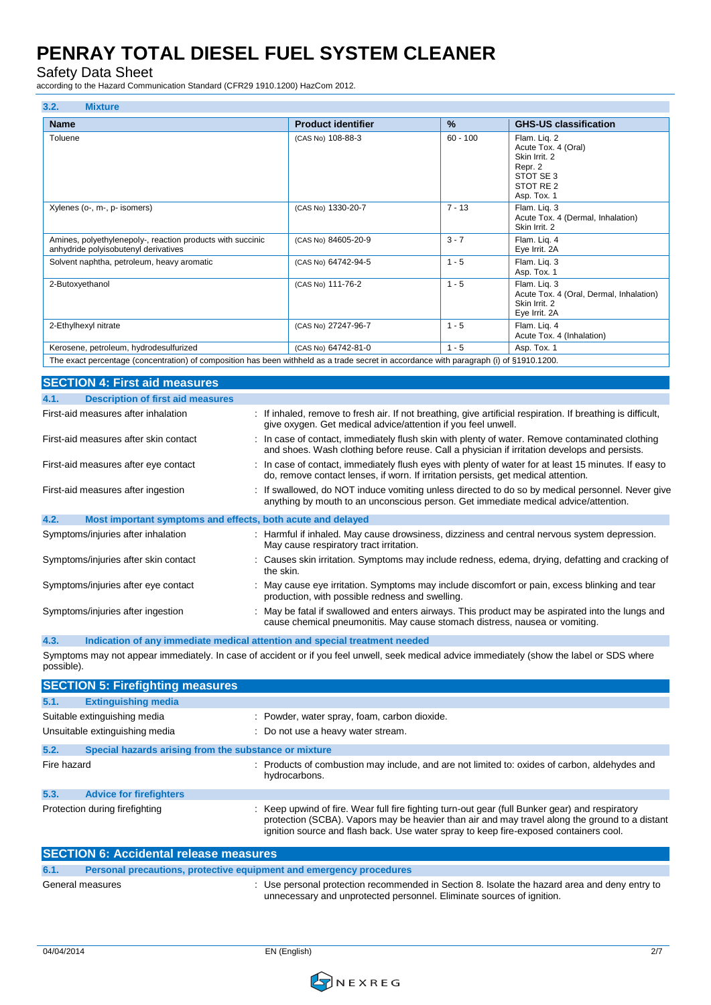Safety Data Sheet

**3.2. Mixture**

according to the Hazard Communication Standard (CFR29 1910.1200) HazCom 2012.

| J.Z.<br><b>IVITATULE</b>                                                                                                                |                                                                                              |            |                                                                                                              |
|-----------------------------------------------------------------------------------------------------------------------------------------|----------------------------------------------------------------------------------------------|------------|--------------------------------------------------------------------------------------------------------------|
| <b>Name</b>                                                                                                                             | <b>Product identifier</b>                                                                    | %          | <b>GHS-US classification</b>                                                                                 |
| Toluene                                                                                                                                 | (CAS No) 108-88-3                                                                            | $60 - 100$ | Flam. Liq. 2<br>Acute Tox. 4 (Oral)<br>Skin Irrit. 2<br>Repr. 2<br>STOT SE 3<br>STOT RE 2<br>Asp. Tox. 1     |
| Xylenes (o-, m-, p- isomers)                                                                                                            | (CAS No) 1330-20-7                                                                           | $7 - 13$   | Flam. Lig. 3<br>Acute Tox. 4 (Dermal, Inhalation)<br>Skin Irrit. 2                                           |
| Amines, polyethylenepoly-, reaction products with succinic<br>anhydride polyisobutenyl derivatives                                      | (CAS No) 84605-20-9                                                                          | $3 - 7$    | Flam. Lig. 4<br>Eye Irrit. 2A                                                                                |
| Solvent naphtha, petroleum, heavy aromatic                                                                                              | (CAS No) 64742-94-5                                                                          | $1 - 5$    | Flam. Lig. 3<br>Asp. Tox. 1                                                                                  |
| 2-Butoxyethanol                                                                                                                         | (CAS No) 111-76-2                                                                            | $1 - 5$    | Flam. Liq. 3<br>Acute Tox. 4 (Oral, Dermal, Inhalation)<br>Skin Irrit. 2<br>Eye Irrit. 2A                    |
| 2-Ethylhexyl nitrate                                                                                                                    | (CAS No) 27247-96-7                                                                          | $1 - 5$    | Flam. Lig. 4<br>Acute Tox. 4 (Inhalation)                                                                    |
| Kerosene, petroleum, hydrodesulfurized                                                                                                  | (CAS No) 64742-81-0                                                                          | $1 - 5$    | Asp. Tox. 1                                                                                                  |
| The exact percentage (concentration) of composition has been withheld as a trade secret in accordance with paragraph (i) of §1910.1200. |                                                                                              |            |                                                                                                              |
| <b>SECTION 4: First aid measures</b>                                                                                                    |                                                                                              |            |                                                                                                              |
| <b>Description of first aid measures</b><br>4.1.                                                                                        |                                                                                              |            |                                                                                                              |
| First-aid measures after inhalation                                                                                                     | give oxygen. Get medical advice/attention if you feel unwell.                                |            | : If inhaled, remove to fresh air. If not breathing, give artificial respiration. If breathing is difficult, |
| First-aid measures after skin contact                                                                                                   | and shoes. Wash clothing before reuse. Call a physician if irritation develops and persists. |            | In case of contact, immediately flush skin with plenty of water. Remove contaminated clothing                |
| First-aid measures after eye contact                                                                                                    | do, remove contact lenses, if worn. If irritation persists, get medical attention.           |            | : In case of contact, immediately flush eyes with plenty of water for at least 15 minutes. If easy to        |
| First-aid measures after ingestion                                                                                                      | anything by mouth to an unconscious person. Get immediate medical advice/attention.          |            | : If swallowed, do NOT induce vomiting unless directed to do so by medical personnel. Never give             |
| 4.2.<br>Most important symptoms and effects, both acute and delayed                                                                     |                                                                                              |            |                                                                                                              |
| Symptoms/injuries after inhalation                                                                                                      | May cause respiratory tract irritation.                                                      |            | : Harmful if inhaled. May cause drowsiness, dizziness and central nervous system depression.                 |
| Symptoms/injuries after skin contact                                                                                                    | the skin.                                                                                    |            | Causes skin irritation. Symptoms may include redness, edema, drying, defatting and cracking of               |
| Symptoms/injuries after eye contact                                                                                                     | production, with possible redness and swelling.                                              |            | : May cause eye irritation. Symptoms may include discomfort or pain, excess blinking and tear                |
| Symptoms/injuries after ingestion                                                                                                       | cause chemical pneumonitis. May cause stomach distress, nausea or vomiting.                  |            | May be fatal if swallowed and enters airways. This product may be aspirated into the lungs and               |
|                                                                                                                                         |                                                                                              |            |                                                                                                              |

**4.3. Indication of any immediate medical attention and special treatment needed** Symptoms may not appear immediately. In case of accident or if you feel unwell, seek medical advice immediately (show the label or SDS where possible).

|             | <b>SECTION 5: Firefighting measures</b>               |                                                                                                                                                                                                                                                                                          |
|-------------|-------------------------------------------------------|------------------------------------------------------------------------------------------------------------------------------------------------------------------------------------------------------------------------------------------------------------------------------------------|
| 5.1.        | <b>Extinguishing media</b>                            |                                                                                                                                                                                                                                                                                          |
|             | Suitable extinguishing media                          | : Powder, water spray, foam, carbon dioxide.                                                                                                                                                                                                                                             |
|             | Unsuitable extinguishing media                        | : Do not use a heavy water stream.                                                                                                                                                                                                                                                       |
| 5.2.        | Special hazards arising from the substance or mixture |                                                                                                                                                                                                                                                                                          |
| Fire hazard |                                                       | : Products of combustion may include, and are not limited to: oxides of carbon, aldehydes and<br>hydrocarbons.                                                                                                                                                                           |
| 5.3.        | <b>Advice for firefighters</b>                        |                                                                                                                                                                                                                                                                                          |
|             | Protection during firefighting                        | Keep upwind of fire. Wear full fire fighting turn-out gear (full Bunker gear) and respiratory<br>protection (SCBA). Vapors may be heavier than air and may travel along the ground to a distant<br>ignition source and flash back. Use water spray to keep fire-exposed containers cool. |

| <b>SECTION 6: Accidental release measures</b> |                                                                     |                                                                                                                                                                        |
|-----------------------------------------------|---------------------------------------------------------------------|------------------------------------------------------------------------------------------------------------------------------------------------------------------------|
| 6.1.                                          | Personal precautions, protective equipment and emergency procedures |                                                                                                                                                                        |
|                                               | General measures                                                    | : Use personal protection recommended in Section 8. Isolate the hazard area and deny entry to<br>unnecessary and unprotected personnel. Eliminate sources of ignition. |

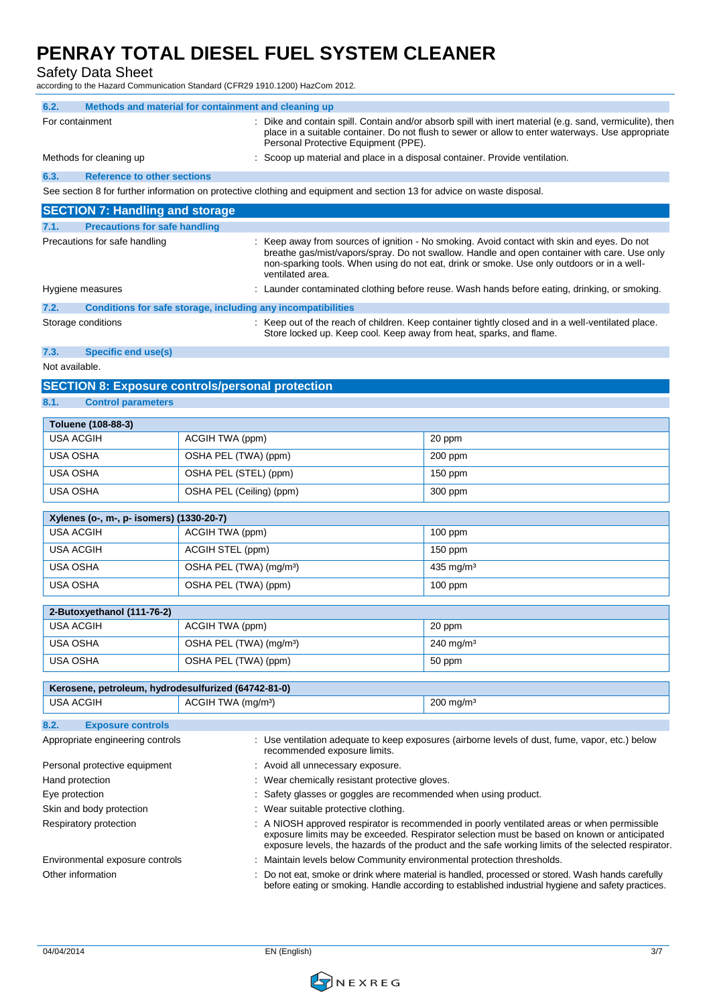#### Safety Data Sheet

according to the Hazard Communication Standard (CFR29 1910.1200) HazCom 2012.

| 6.2.<br>Methods and material for containment and cleaning up                                                                                                                                                               |                                     |                                                                                                                                                                                                                                                     |                                                                                                                                                                                                                                                                                           |  |
|----------------------------------------------------------------------------------------------------------------------------------------------------------------------------------------------------------------------------|-------------------------------------|-----------------------------------------------------------------------------------------------------------------------------------------------------------------------------------------------------------------------------------------------------|-------------------------------------------------------------------------------------------------------------------------------------------------------------------------------------------------------------------------------------------------------------------------------------------|--|
| For containment                                                                                                                                                                                                            |                                     | Dike and contain spill. Contain and/or absorb spill with inert material (e.g. sand, vermiculite), then<br>place in a suitable container. Do not flush to sewer or allow to enter waterways. Use appropriate<br>Personal Protective Equipment (PPE). |                                                                                                                                                                                                                                                                                           |  |
| Methods for cleaning up                                                                                                                                                                                                    |                                     | Scoop up material and place in a disposal container. Provide ventilation.                                                                                                                                                                           |                                                                                                                                                                                                                                                                                           |  |
| 6.3.<br><b>Reference to other sections</b>                                                                                                                                                                                 |                                     |                                                                                                                                                                                                                                                     |                                                                                                                                                                                                                                                                                           |  |
|                                                                                                                                                                                                                            |                                     | See section 8 for further information on protective clothing and equipment and section 13 for advice on waste disposal.                                                                                                                             |                                                                                                                                                                                                                                                                                           |  |
| <b>SECTION 7: Handling and storage</b>                                                                                                                                                                                     |                                     |                                                                                                                                                                                                                                                     |                                                                                                                                                                                                                                                                                           |  |
| 7.1.<br><b>Precautions for safe handling</b>                                                                                                                                                                               |                                     |                                                                                                                                                                                                                                                     |                                                                                                                                                                                                                                                                                           |  |
| Precautions for safe handling                                                                                                                                                                                              |                                     | ventilated area.                                                                                                                                                                                                                                    | : Keep away from sources of ignition - No smoking. Avoid contact with skin and eyes. Do not<br>breathe gas/mist/vapors/spray. Do not swallow. Handle and open container with care. Use only<br>non-sparking tools. When using do not eat, drink or smoke. Use only outdoors or in a well- |  |
| Hygiene measures                                                                                                                                                                                                           |                                     |                                                                                                                                                                                                                                                     | : Launder contaminated clothing before reuse. Wash hands before eating, drinking, or smoking.                                                                                                                                                                                             |  |
| 7.2.                                                                                                                                                                                                                       |                                     | Conditions for safe storage, including any incompatibilities                                                                                                                                                                                        |                                                                                                                                                                                                                                                                                           |  |
| Storage conditions                                                                                                                                                                                                         |                                     | Store locked up. Keep cool. Keep away from heat, sparks, and flame.                                                                                                                                                                                 | : Keep out of the reach of children. Keep container tightly closed and in a well-ventilated place.                                                                                                                                                                                        |  |
| <b>Specific end use(s)</b><br>7.3.                                                                                                                                                                                         |                                     |                                                                                                                                                                                                                                                     |                                                                                                                                                                                                                                                                                           |  |
| Not available.                                                                                                                                                                                                             |                                     |                                                                                                                                                                                                                                                     |                                                                                                                                                                                                                                                                                           |  |
| <b>SECTION 8: Exposure controls/personal protection</b>                                                                                                                                                                    |                                     |                                                                                                                                                                                                                                                     |                                                                                                                                                                                                                                                                                           |  |
| 8.1.<br><b>Control parameters</b>                                                                                                                                                                                          |                                     |                                                                                                                                                                                                                                                     |                                                                                                                                                                                                                                                                                           |  |
| Toluene (108-88-3)                                                                                                                                                                                                         |                                     |                                                                                                                                                                                                                                                     |                                                                                                                                                                                                                                                                                           |  |
| <b>USA ACGIH</b>                                                                                                                                                                                                           | ACGIH TWA (ppm)                     |                                                                                                                                                                                                                                                     | 20 ppm                                                                                                                                                                                                                                                                                    |  |
| USA OSHA                                                                                                                                                                                                                   | OSHA PEL (TWA) (ppm)                |                                                                                                                                                                                                                                                     | 200 ppm                                                                                                                                                                                                                                                                                   |  |
| USA OSHA                                                                                                                                                                                                                   | OSHA PEL (STEL) (ppm)               |                                                                                                                                                                                                                                                     | $150$ ppm                                                                                                                                                                                                                                                                                 |  |
| USA OSHA                                                                                                                                                                                                                   | OSHA PEL (Ceiling) (ppm)            |                                                                                                                                                                                                                                                     | 300 ppm                                                                                                                                                                                                                                                                                   |  |
|                                                                                                                                                                                                                            |                                     |                                                                                                                                                                                                                                                     |                                                                                                                                                                                                                                                                                           |  |
| Xylenes (o-, m-, p- isomers) (1330-20-7)<br><b>USA ACGIH</b>                                                                                                                                                               | ACGIH TWA (ppm)                     |                                                                                                                                                                                                                                                     | $100$ ppm                                                                                                                                                                                                                                                                                 |  |
| <b>USA ACGIH</b>                                                                                                                                                                                                           | ACGIH STEL (ppm)                    |                                                                                                                                                                                                                                                     | 150 ppm                                                                                                                                                                                                                                                                                   |  |
| <b>USA OSHA</b>                                                                                                                                                                                                            | OSHA PEL (TWA) (mg/m <sup>3</sup> ) |                                                                                                                                                                                                                                                     | 435 mg/m $3$                                                                                                                                                                                                                                                                              |  |
| <b>USA OSHA</b>                                                                                                                                                                                                            | OSHA PEL (TWA) (ppm)                |                                                                                                                                                                                                                                                     | $100$ ppm                                                                                                                                                                                                                                                                                 |  |
|                                                                                                                                                                                                                            |                                     |                                                                                                                                                                                                                                                     |                                                                                                                                                                                                                                                                                           |  |
| 2-Butoxyethanol (111-76-2)                                                                                                                                                                                                 |                                     |                                                                                                                                                                                                                                                     |                                                                                                                                                                                                                                                                                           |  |
| <b>USA ACGIH</b>                                                                                                                                                                                                           | ACGIH TWA (ppm)                     |                                                                                                                                                                                                                                                     | 20 ppm                                                                                                                                                                                                                                                                                    |  |
| <b>USA OSHA</b>                                                                                                                                                                                                            | OSHA PEL (TWA) (mg/m <sup>3</sup> ) |                                                                                                                                                                                                                                                     | $240$ mg/m <sup>3</sup>                                                                                                                                                                                                                                                                   |  |
| USA OSHA                                                                                                                                                                                                                   | OSHA PEL (TWA) (ppm)                |                                                                                                                                                                                                                                                     | 50 ppm                                                                                                                                                                                                                                                                                    |  |
| Kerosene, petroleum, hydrodesulfurized (64742-81-0)                                                                                                                                                                        |                                     |                                                                                                                                                                                                                                                     |                                                                                                                                                                                                                                                                                           |  |
| <b>USA ACGIH</b>                                                                                                                                                                                                           | ACGIH TWA (mg/m <sup>3</sup> )      |                                                                                                                                                                                                                                                     | $200$ mg/m <sup>3</sup>                                                                                                                                                                                                                                                                   |  |
| 8.2.<br><b>Exposure controls</b>                                                                                                                                                                                           |                                     |                                                                                                                                                                                                                                                     |                                                                                                                                                                                                                                                                                           |  |
| Appropriate engineering controls                                                                                                                                                                                           |                                     |                                                                                                                                                                                                                                                     | : Use ventilation adequate to keep exposures (airborne levels of dust, fume, vapor, etc.) below                                                                                                                                                                                           |  |
|                                                                                                                                                                                                                            |                                     | recommended exposure limits.                                                                                                                                                                                                                        |                                                                                                                                                                                                                                                                                           |  |
| Personal protective equipment                                                                                                                                                                                              |                                     | Avoid all unnecessary exposure.                                                                                                                                                                                                                     |                                                                                                                                                                                                                                                                                           |  |
| Hand protection<br>Eye protection                                                                                                                                                                                          |                                     | Wear chemically resistant protective gloves.<br>Safety glasses or goggles are recommended when using product.                                                                                                                                       |                                                                                                                                                                                                                                                                                           |  |
| Skin and body protection                                                                                                                                                                                                   |                                     | Wear suitable protective clothing.                                                                                                                                                                                                                  |                                                                                                                                                                                                                                                                                           |  |
| Respiratory protection                                                                                                                                                                                                     |                                     |                                                                                                                                                                                                                                                     | A NIOSH approved respirator is recommended in poorly ventilated areas or when permissible                                                                                                                                                                                                 |  |
|                                                                                                                                                                                                                            |                                     |                                                                                                                                                                                                                                                     | exposure limits may be exceeded. Respirator selection must be based on known or anticipated<br>exposure levels, the hazards of the product and the safe working limits of the selected respirator.                                                                                        |  |
| Environmental exposure controls                                                                                                                                                                                            |                                     | Maintain levels below Community environmental protection thresholds.                                                                                                                                                                                |                                                                                                                                                                                                                                                                                           |  |
| Do not eat, smoke or drink where material is handled, processed or stored. Wash hands carefully<br>Other information<br>before eating or smoking. Handle according to established industrial hygiene and safety practices. |                                     |                                                                                                                                                                                                                                                     |                                                                                                                                                                                                                                                                                           |  |

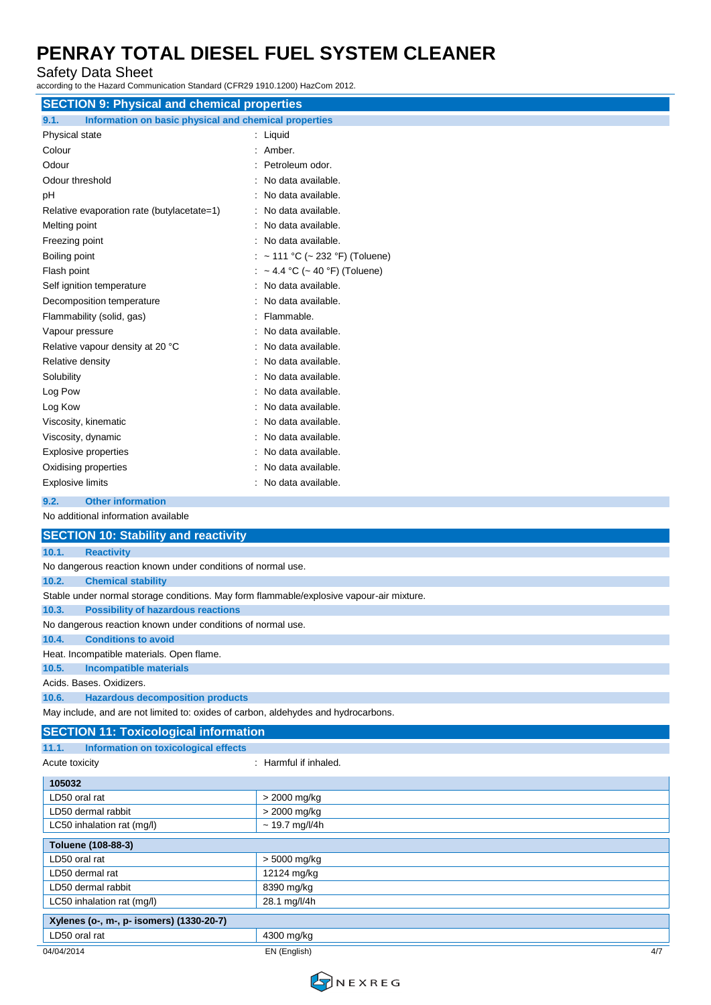Safety Data Sheet

according to the Hazard Communication Standard (CFR29 1910.1200) HazCom 2012.

| <b>SECTION 9: Physical and chemical properties</b>                                       |                               |  |
|------------------------------------------------------------------------------------------|-------------------------------|--|
| 9.1.<br>Information on basic physical and chemical properties                            |                               |  |
| Physical state                                                                           | Liquid                        |  |
| Colour                                                                                   | Amber.                        |  |
| Odour                                                                                    | Petroleum odor.               |  |
| Odour threshold                                                                          | No data available.            |  |
| pH                                                                                       | No data available.            |  |
| Relative evaporation rate (butylacetate=1)                                               | No data available.            |  |
| Melting point                                                                            | No data available.            |  |
| Freezing point                                                                           | No data available.            |  |
| Boiling point                                                                            | ~ 111 °C (~ 232 °F) (Toluene) |  |
| Flash point                                                                              | ~ 4.4 °C (~ 40 °F) (Toluene)  |  |
| Self ignition temperature                                                                | No data available.            |  |
| Decomposition temperature                                                                | No data available.            |  |
| Flammability (solid, gas)                                                                | Flammable.                    |  |
| Vapour pressure                                                                          | No data available.            |  |
| Relative vapour density at 20 °C                                                         | No data available.            |  |
| Relative density                                                                         | No data available.            |  |
| Solubility                                                                               | No data available.            |  |
| Log Pow                                                                                  | No data available.            |  |
| Log Kow                                                                                  | No data available.            |  |
| Viscosity, kinematic                                                                     | No data available.            |  |
| Viscosity, dynamic                                                                       | No data available.            |  |
| <b>Explosive properties</b>                                                              | No data available.            |  |
| Oxidising properties                                                                     | No data available.            |  |
| <b>Explosive limits</b>                                                                  | No data available.            |  |
| <b>Other information</b><br>9.2.                                                         |                               |  |
| No additional information available                                                      |                               |  |
| <b>SECTION 10: Stability and reactivity</b>                                              |                               |  |
| 10.1.<br><b>Reactivity</b>                                                               |                               |  |
| No dangerous reaction known under conditions of normal use.                              |                               |  |
| 10.2.<br><b>Chemical stability</b>                                                       |                               |  |
| Stable under normal storage conditions. May form flammable/explosive vapour-air mixture. |                               |  |
| <b>Possibility of hazardous reactions</b><br>10.3.                                       |                               |  |
| No dangerous reaction known under conditions of normal use.                              |                               |  |
| <b>Conditions to avoid</b><br>10.4.                                                      |                               |  |
| Heat. Incompatible materials. Open flame.                                                |                               |  |
| <b>Incompatible materials</b><br>10.5.                                                   |                               |  |
| Acids. Bases. Oxidizers.                                                                 |                               |  |
| <b>Hazardous decomposition products</b><br>10.6.                                         |                               |  |
| May include, and are not limited to: oxides of carbon, aldehydes and hydrocarbons.       |                               |  |

#### **SECTION 11: Toxicological information 11.1. Information on toxicological effects**

| .<br><b>MONDAY CONSUMERING AND INCORPORATIONS</b> |                       |
|---------------------------------------------------|-----------------------|
| Acute toxicity                                    | : Harmful if inhaled. |
| 105032                                            |                       |
| LD50 oral rat                                     | > 2000 mg/kg          |
| LD50 dermal rabbit                                | > 2000 mg/kg          |
| LC50 inhalation rat (mg/l)                        | $\sim$ 19.7 mg/l/4h   |
| Toluene (108-88-3)                                |                       |
| LD50 oral rat                                     | > 5000 mg/kg          |
| LD50 dermal rat                                   | 12124 mg/kg           |
| LD50 dermal rabbit                                | 8390 mg/kg            |
| LC50 inhalation rat (mg/l)                        | 28.1 mg/l/4h          |
| Xylenes (o-, m-, p- isomers) (1330-20-7)          |                       |
| LD50 oral rat                                     | 4300 mg/kg            |
| 04/04/2014                                        | 4/7<br>EN (English)   |

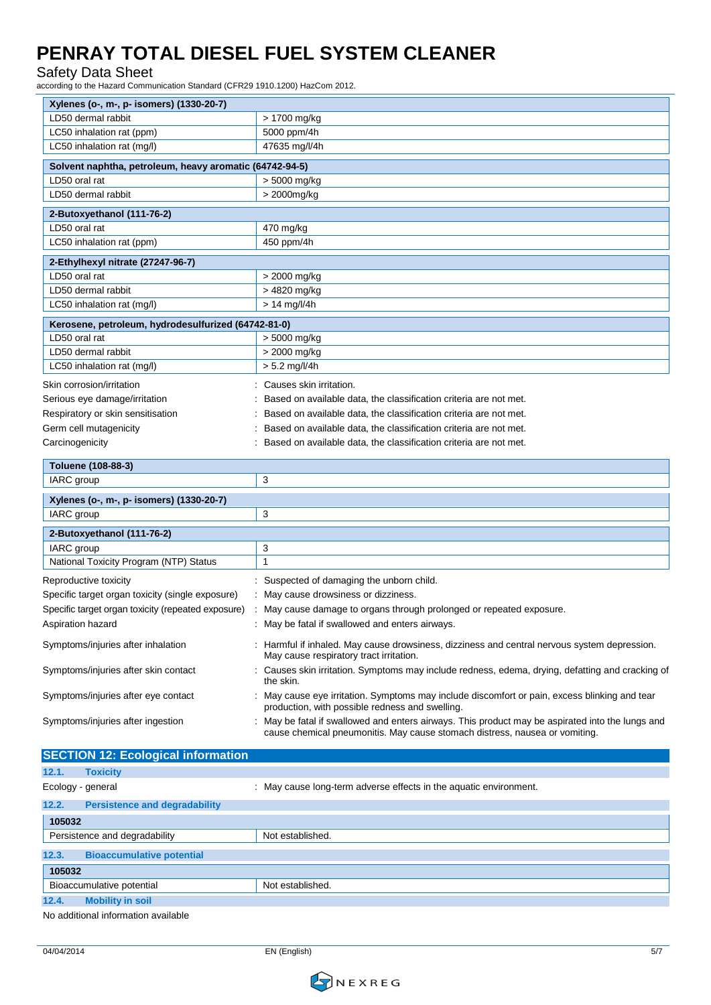#### Safety Data Sheet

according to the Hazard Communication Standard (CFR29 1910.1200) HazCom 2012.

| Xylenes (o-, m-, p- isomers) (1330-20-7)                |                                                                                                                                                                               |  |  |
|---------------------------------------------------------|-------------------------------------------------------------------------------------------------------------------------------------------------------------------------------|--|--|
| LD50 dermal rabbit                                      | > 1700 mg/kg                                                                                                                                                                  |  |  |
| LC50 inhalation rat (ppm)                               | 5000 ppm/4h                                                                                                                                                                   |  |  |
| LC50 inhalation rat (mg/l)                              | 47635 mg/l/4h                                                                                                                                                                 |  |  |
| Solvent naphtha, petroleum, heavy aromatic (64742-94-5) |                                                                                                                                                                               |  |  |
| LD50 oral rat                                           | > 5000 mg/kg                                                                                                                                                                  |  |  |
| LD50 dermal rabbit                                      | > 2000mg/kg                                                                                                                                                                   |  |  |
|                                                         |                                                                                                                                                                               |  |  |
| 2-Butoxyethanol (111-76-2)                              |                                                                                                                                                                               |  |  |
| LD50 oral rat                                           | 470 mg/kg                                                                                                                                                                     |  |  |
| LC50 inhalation rat (ppm)                               | 450 ppm/4h                                                                                                                                                                    |  |  |
| 2-Ethylhexyl nitrate (27247-96-7)                       |                                                                                                                                                                               |  |  |
| LD50 oral rat                                           | > 2000 mg/kg                                                                                                                                                                  |  |  |
| LD50 dermal rabbit                                      | > 4820 mg/kg                                                                                                                                                                  |  |  |
| LC50 inhalation rat (mg/l)                              | $> 14$ mg/l/4h                                                                                                                                                                |  |  |
| Kerosene, petroleum, hydrodesulfurized (64742-81-0)     |                                                                                                                                                                               |  |  |
| LD50 oral rat                                           | > 5000 mg/kg                                                                                                                                                                  |  |  |
| LD50 dermal rabbit                                      | > 2000 mg/kg                                                                                                                                                                  |  |  |
| LC50 inhalation rat (mg/l)                              | $> 5.2$ mg/l/4h                                                                                                                                                               |  |  |
|                                                         | Causes skin irritation.                                                                                                                                                       |  |  |
| Skin corrosion/irritation                               |                                                                                                                                                                               |  |  |
| Serious eye damage/irritation                           | Based on available data, the classification criteria are not met.                                                                                                             |  |  |
| Respiratory or skin sensitisation                       | Based on available data, the classification criteria are not met.                                                                                                             |  |  |
| Germ cell mutagenicity                                  | Based on available data, the classification criteria are not met.                                                                                                             |  |  |
| Carcinogenicity                                         | Based on available data, the classification criteria are not met.                                                                                                             |  |  |
| Toluene (108-88-3)                                      |                                                                                                                                                                               |  |  |
| IARC group                                              | 3                                                                                                                                                                             |  |  |
| Xylenes (o-, m-, p- isomers) (1330-20-7)                |                                                                                                                                                                               |  |  |
| IARC group                                              | 3                                                                                                                                                                             |  |  |
|                                                         |                                                                                                                                                                               |  |  |
| 2-Butoxyethanol (111-76-2)<br>IARC group                | 3                                                                                                                                                                             |  |  |
| National Toxicity Program (NTP) Status                  | 1                                                                                                                                                                             |  |  |
|                                                         |                                                                                                                                                                               |  |  |
| Reproductive toxicity                                   | Suspected of damaging the unborn child.                                                                                                                                       |  |  |
| Specific target organ toxicity (single exposure)        | May cause drowsiness or dizziness.                                                                                                                                            |  |  |
| Specific target organ toxicity (repeated exposure)      | May cause damage to organs through prolonged or repeated exposure.                                                                                                            |  |  |
| Aspiration hazard                                       | : May be fatal if swallowed and enters airways.                                                                                                                               |  |  |
| Symptoms/injuries after inhalation                      | : Harmful if inhaled. May cause drowsiness, dizziness and central nervous system depression.<br>May cause respiratory tract irritation.                                       |  |  |
| Symptoms/injuries after skin contact                    | Causes skin irritation. Symptoms may include redness, edema, drying, defatting and cracking of<br>the skin.                                                                   |  |  |
| Symptoms/injuries after eye contact                     | May cause eye irritation. Symptoms may include discomfort or pain, excess blinking and tear<br>production, with possible redness and swelling.                                |  |  |
| Symptoms/injuries after ingestion                       | May be fatal if swallowed and enters airways. This product may be aspirated into the lungs and<br>cause chemical pneumonitis. May cause stomach distress, nausea or vomiting. |  |  |
| <b>SECTION 12: Ecological information</b>               |                                                                                                                                                                               |  |  |
| 12.1.<br><b>Toxicity</b>                                |                                                                                                                                                                               |  |  |
|                                                         |                                                                                                                                                                               |  |  |

| Ecology - general             |                                      | May cause long-term adverse effects in the aquatic environment. |  |
|-------------------------------|--------------------------------------|-----------------------------------------------------------------|--|
| 12.2.                         | <b>Persistence and degradability</b> |                                                                 |  |
|                               | 105032                               |                                                                 |  |
| Persistence and degradability |                                      | Not established.                                                |  |
| 12.3.                         | <b>Bioaccumulative potential</b>     |                                                                 |  |
| 105032                        |                                      |                                                                 |  |
| Bioaccumulative potential     |                                      | Not established.                                                |  |
| 12.4.                         | <b>Mobility in soil</b>              |                                                                 |  |

No additional information available

04/04/2014 EN (English) 5/7

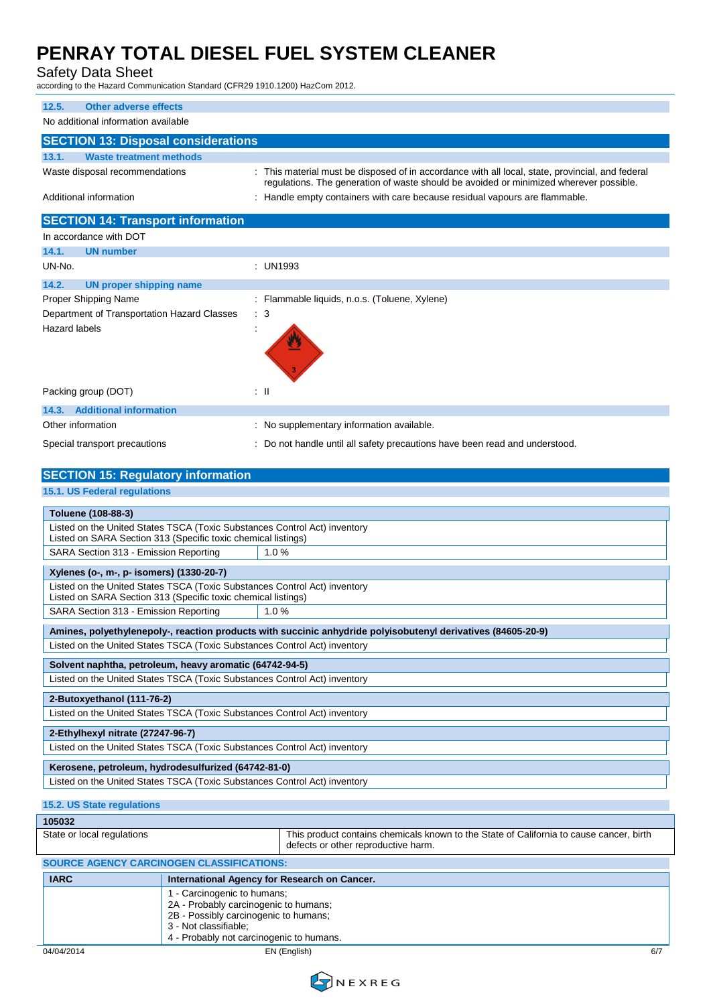# Safety Data Sheet<br>according to the Hazard Commu

. .<br>munication Standard (CFR29 1910.1200) HazCom 2012.

| according to the Hazard Communication Standard (CFN29-1910.1200) HazConn 2012. |                                                                                                                                                                                            |
|--------------------------------------------------------------------------------|--------------------------------------------------------------------------------------------------------------------------------------------------------------------------------------------|
| 12.5.<br><b>Other adverse effects</b>                                          |                                                                                                                                                                                            |
| No additional information available                                            |                                                                                                                                                                                            |
| <b>SECTION 13: Disposal considerations</b>                                     |                                                                                                                                                                                            |
| 13.1.<br><b>Waste treatment methods</b>                                        |                                                                                                                                                                                            |
| Waste disposal recommendations                                                 | : This material must be disposed of in accordance with all local, state, provincial, and federal<br>regulations. The generation of waste should be avoided or minimized wherever possible. |
| Additional information                                                         | : Handle empty containers with care because residual vapours are flammable.                                                                                                                |
| <b>SECTION 14: Transport information</b>                                       |                                                                                                                                                                                            |
| In accordance with DOT                                                         |                                                                                                                                                                                            |
| 14.1.<br><b>UN number</b>                                                      |                                                                                                                                                                                            |
| UN-No.                                                                         | : UN1993                                                                                                                                                                                   |
| 14.2.<br><b>UN proper shipping name</b>                                        |                                                                                                                                                                                            |
| Proper Shipping Name                                                           | : Flammable liquids, n.o.s. (Toluene, Xylene)                                                                                                                                              |
| Department of Transportation Hazard Classes                                    | : 3                                                                                                                                                                                        |
| <b>Hazard labels</b>                                                           |                                                                                                                                                                                            |
| Packing group (DOT)                                                            | : II                                                                                                                                                                                       |
| <b>Additional information</b><br>14.3.                                         |                                                                                                                                                                                            |
| Other information                                                              | : No supplementary information available.                                                                                                                                                  |
| Special transport precautions                                                  | : Do not handle until all safety precautions have been read and understood.                                                                                                                |
| <b>SECTION 15: Regulatory information</b>                                      |                                                                                                                                                                                            |
|                                                                                |                                                                                                                                                                                            |

| 15.1. US Federal regulations                                                                                                                                 |                                                                                                                                            |                                                                                                              |
|--------------------------------------------------------------------------------------------------------------------------------------------------------------|--------------------------------------------------------------------------------------------------------------------------------------------|--------------------------------------------------------------------------------------------------------------|
| Toluene (108-88-3)                                                                                                                                           |                                                                                                                                            |                                                                                                              |
|                                                                                                                                                              | Listed on the United States TSCA (Toxic Substances Control Act) inventory<br>Listed on SARA Section 313 (Specific toxic chemical listings) |                                                                                                              |
| SARA Section 313 - Emission Reporting                                                                                                                        | 1.0%                                                                                                                                       |                                                                                                              |
| Xylenes (o-, m-, p- isomers) (1330-20-7)                                                                                                                     |                                                                                                                                            |                                                                                                              |
|                                                                                                                                                              | Listed on the United States TSCA (Toxic Substances Control Act) inventory<br>Listed on SARA Section 313 (Specific toxic chemical listings) |                                                                                                              |
| SARA Section 313 - Emission Reporting                                                                                                                        | 1.0%                                                                                                                                       |                                                                                                              |
|                                                                                                                                                              |                                                                                                                                            | Amines, polyethylenepoly-, reaction products with succinic anhydride polyisobutenyl derivatives (84605-20-9) |
|                                                                                                                                                              | Listed on the United States TSCA (Toxic Substances Control Act) inventory                                                                  |                                                                                                              |
|                                                                                                                                                              | Solvent naphtha, petroleum, heavy aromatic (64742-94-5)                                                                                    |                                                                                                              |
|                                                                                                                                                              | Listed on the United States TSCA (Toxic Substances Control Act) inventory                                                                  |                                                                                                              |
| 2-Butoxyethanol (111-76-2)                                                                                                                                   |                                                                                                                                            |                                                                                                              |
|                                                                                                                                                              | Listed on the United States TSCA (Toxic Substances Control Act) inventory                                                                  |                                                                                                              |
| 2-Ethylhexyl nitrate (27247-96-7)                                                                                                                            |                                                                                                                                            |                                                                                                              |
|                                                                                                                                                              | Listed on the United States TSCA (Toxic Substances Control Act) inventory                                                                  |                                                                                                              |
|                                                                                                                                                              | Kerosene, petroleum, hydrodesulfurized (64742-81-0)                                                                                        |                                                                                                              |
|                                                                                                                                                              | Listed on the United States TSCA (Toxic Substances Control Act) inventory                                                                  |                                                                                                              |
| 15.2. US State regulations                                                                                                                                   |                                                                                                                                            |                                                                                                              |
| 105032                                                                                                                                                       |                                                                                                                                            |                                                                                                              |
| This product contains chemicals known to the State of California to cause cancer, birth<br>State or local regulations<br>defects or other reproductive harm. |                                                                                                                                            |                                                                                                              |
|                                                                                                                                                              | <b>SOURCE AGENCY CARCINOGEN CLASSIFICATIONS:</b>                                                                                           |                                                                                                              |
| <b>IARC</b>                                                                                                                                                  | International Agency for Research on Cancer.                                                                                               |                                                                                                              |
|                                                                                                                                                              | 1 - Carcinogenic to humans;<br>2A - Probably carcinogenic to humans;                                                                       |                                                                                                              |

04/04/2014 EN (English) 6/7

2B - Possibly carcinogenic to humans;

4 - Probably not carcinogenic to humans.

3 - Not classifiable;